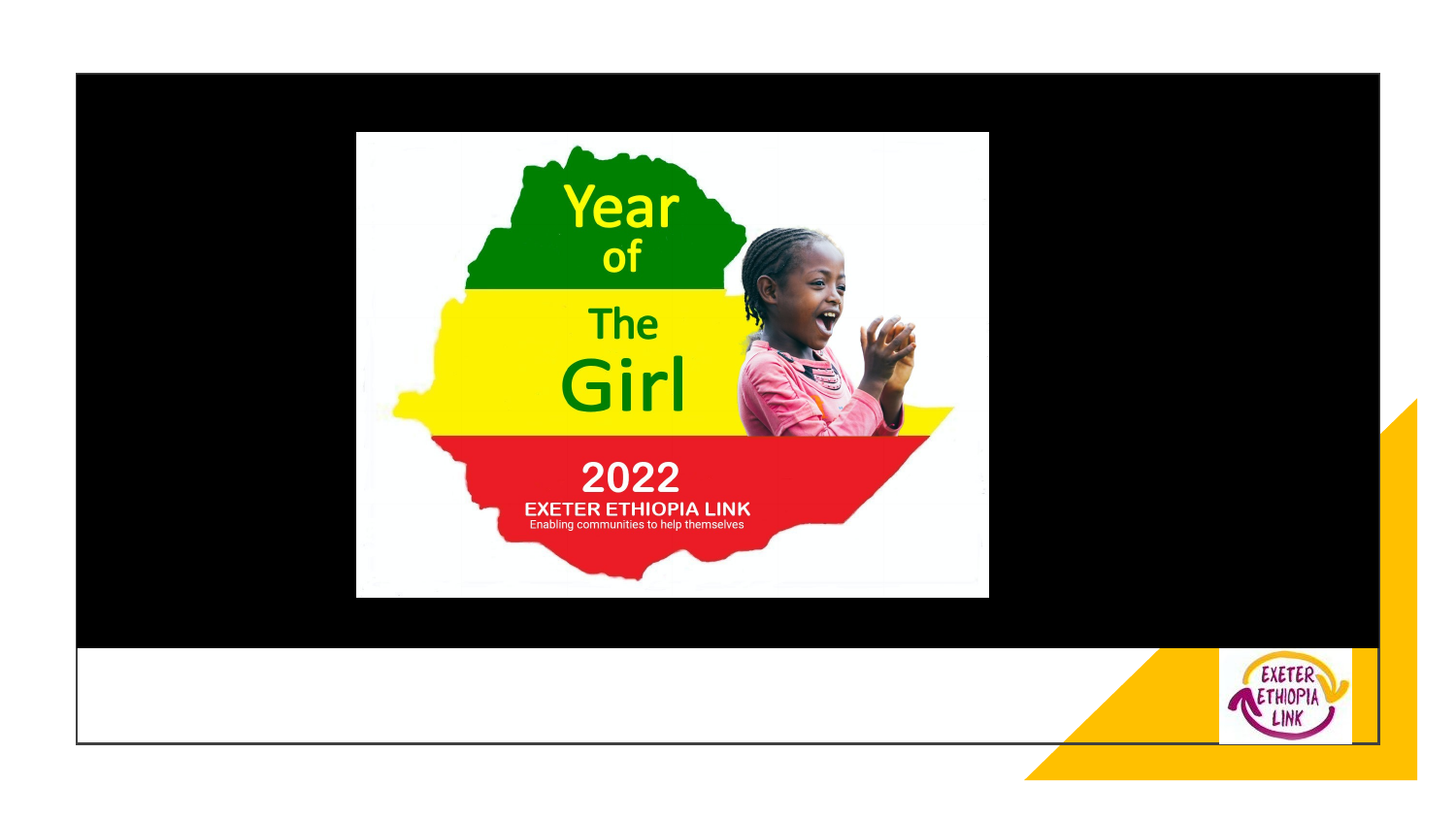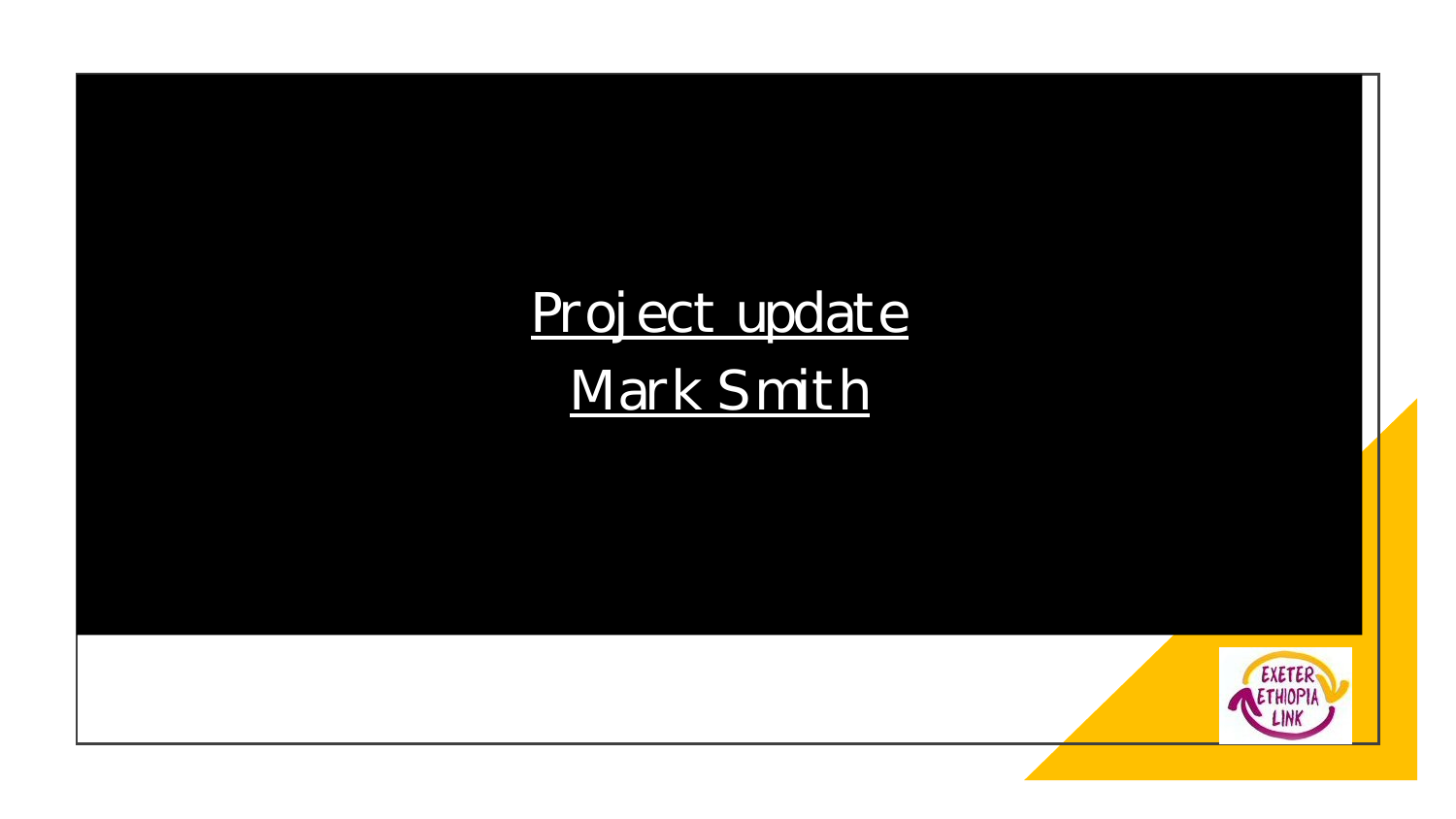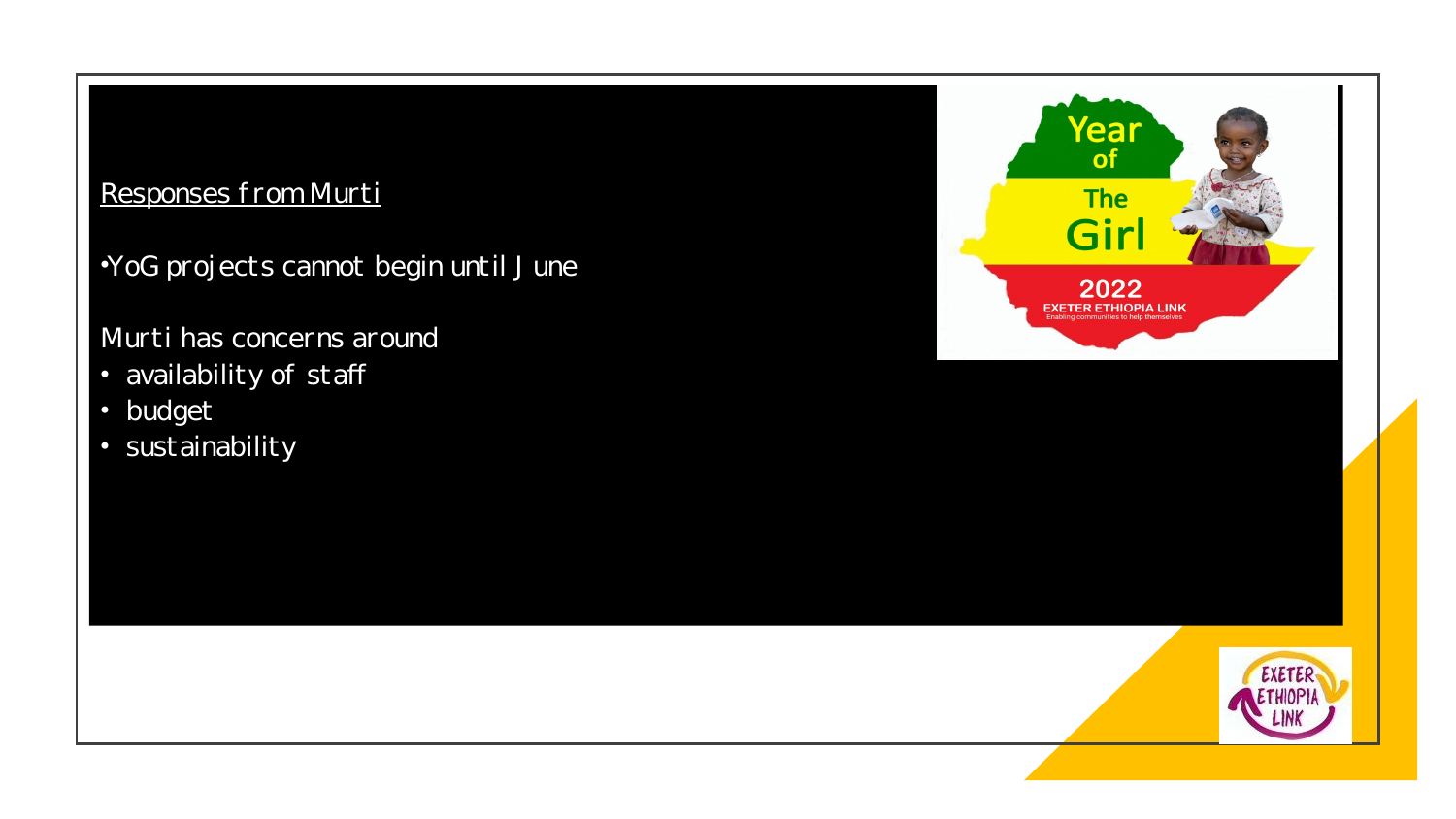#### Responses from Murti

•YoG projects cannot begin until J une

#### Murti has concerns around

- availability of staff
- budget
- sustainability



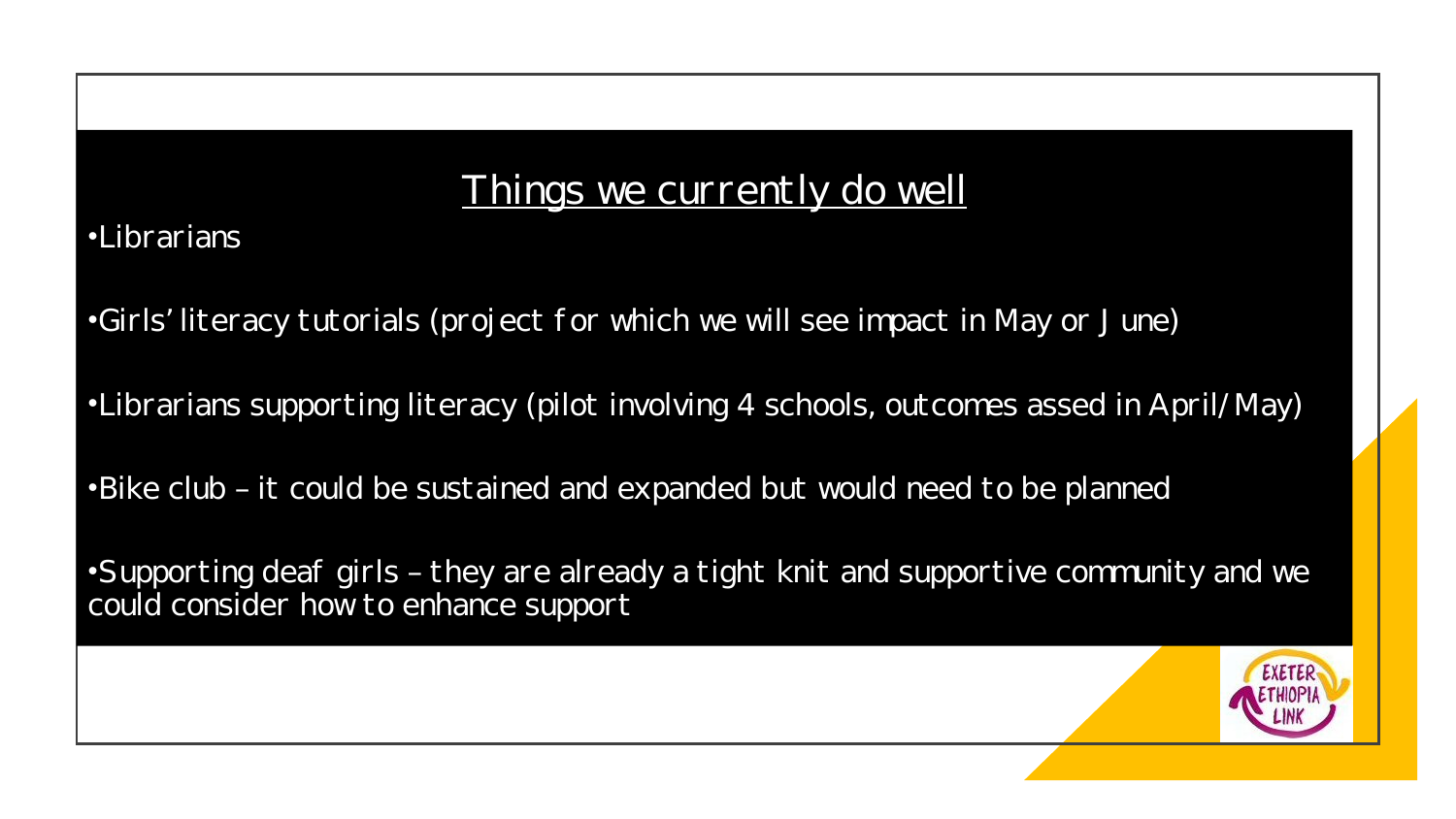#### Things we currently do well

•Librarians

•Girls' literacy tutorials (project for which we will see impact in May or J une)

•Librarians supporting literacy (pilot involving 4 schools, outcomes assed in April/ May)

•Bike club – it could be sustained and expanded but would need to be planned

•Supporting deaf girls – they are already a tight knit and supportive community and we could consider how to enhance support

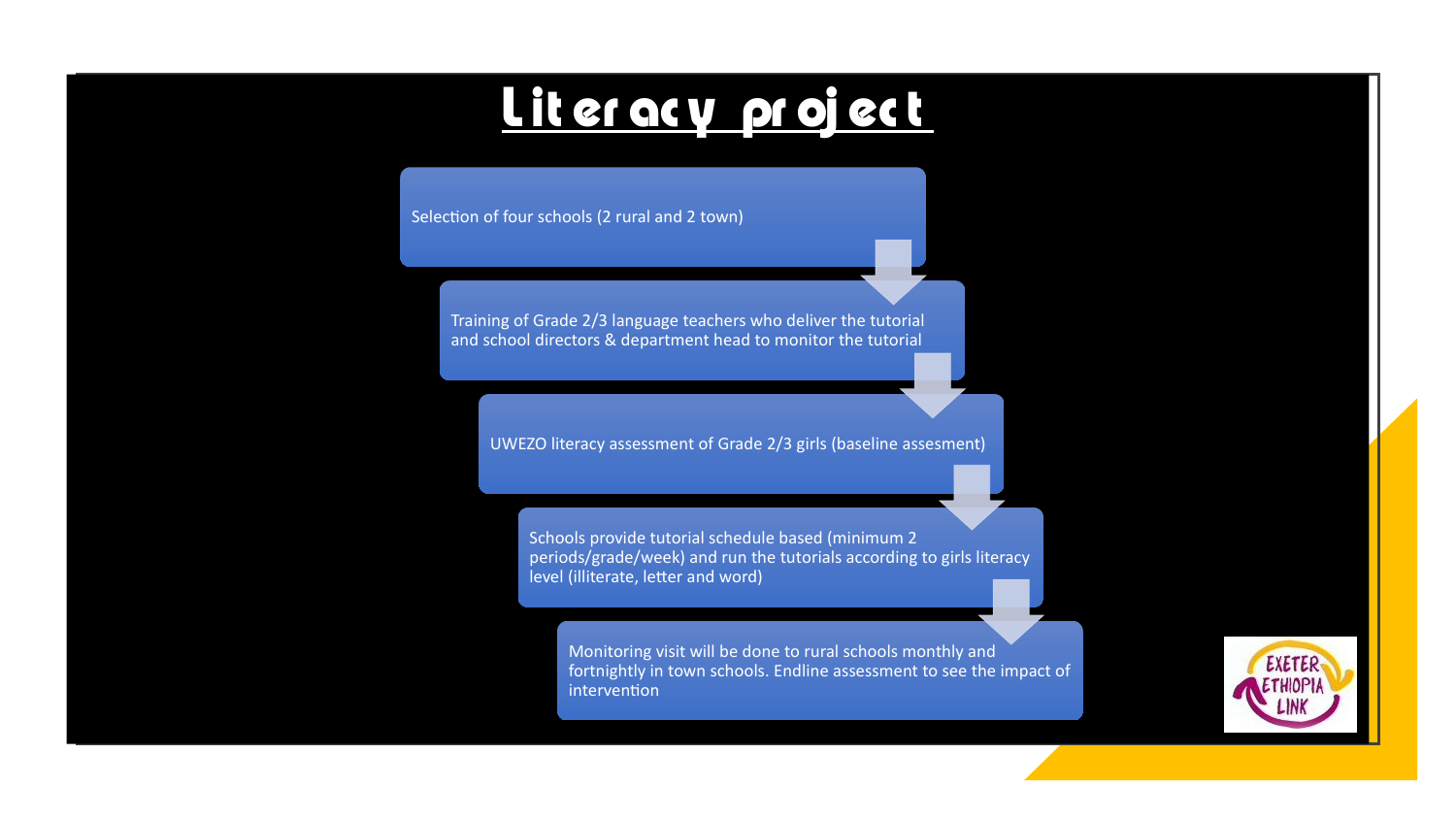### **L it er ac y pr oj ec t**

Selection of four schools (2 rural and 2 town)

 $\mathcal{S}^{\text{S}}_{\text{S}}(\mathcal{S}) = \mathcal{S}^{\text{S}}_{\text{S}}(\mathcal{S})$  and  $2 \leq \mathcal{S}^{\text{S}}_{\text{S}}(\mathcal{S})$  and  $2 \leq \mathcal{S}^{\text{S}}_{\text{S}}(\mathcal{S})$  and  $2 \leq \mathcal{S}^{\text{S}}_{\text{S}}(\mathcal{S})$  and  $2 \leq \mathcal{S}^{\text{S}}_{\text{S}}(\mathcal{S})$  and  $2 \leq \mathcal{S}^{\text{S}}_{\text{S}}(\math$ 

Training of Grade 2/3 language teachers who deliver the tutorial and school directors & department head to monitor the tutorial

UWEZO literacy assessment of Grade 2/3 girls (baseline assesment)

Schools provide tutorial schedule based (minimum 2 periods/grade/week) and run the tutorials according to girls literacy level (illiterate, letter and word)

Monitoring visit will be done to rural schools monthly and fortnightly in town schools. Endline assessment to see the impact of intervention

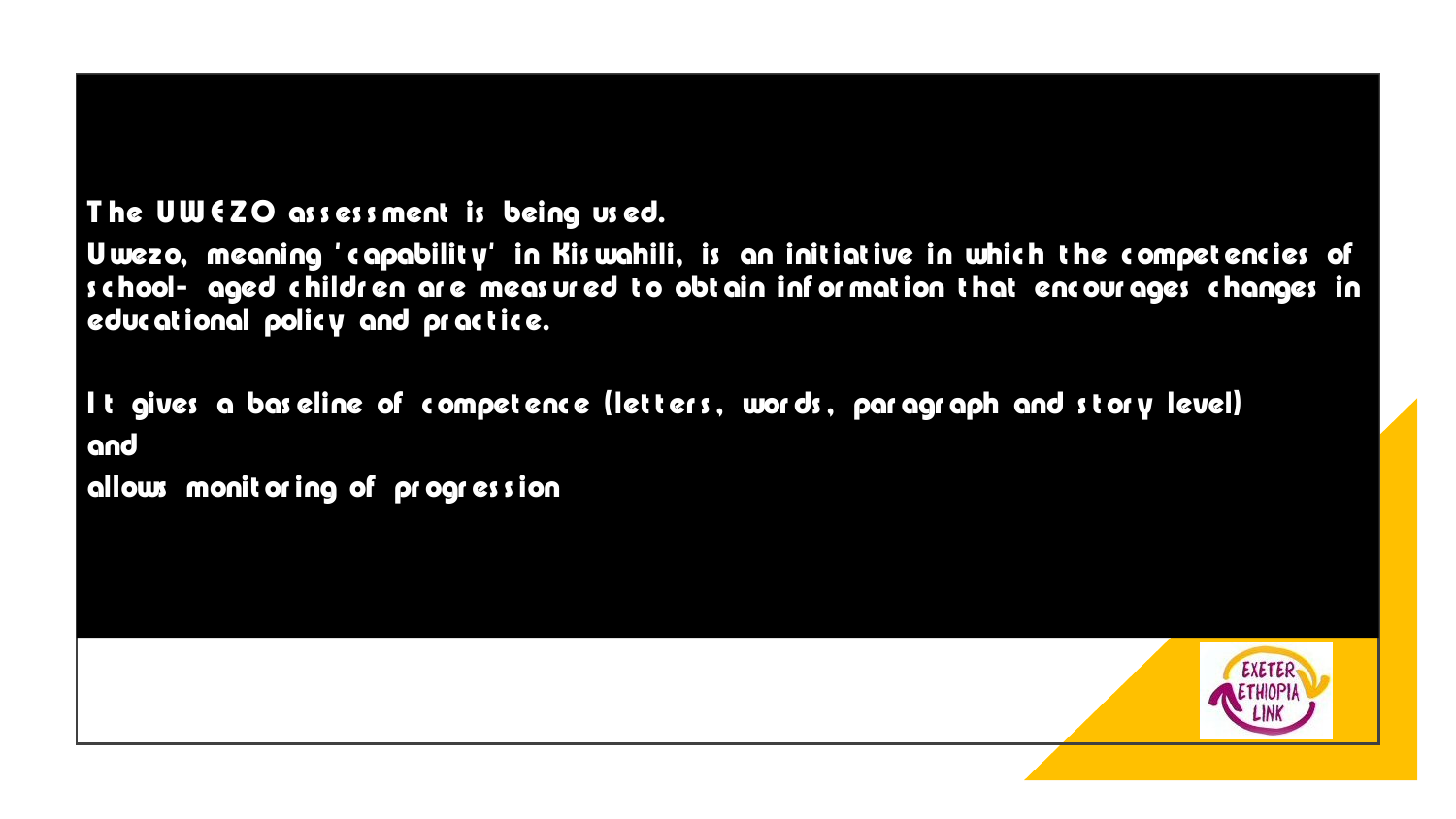#### The UW EZO assessment is being used.

Uwezo, meaning 'capability' in Kiswahili, is an initiative in which the competencies of school- aged children are measured to obtain information that encourages changes in educational policy and practice.

It gives a baseline of competence (letters, words, paragraph and story level) and

allows monit or ing of progression

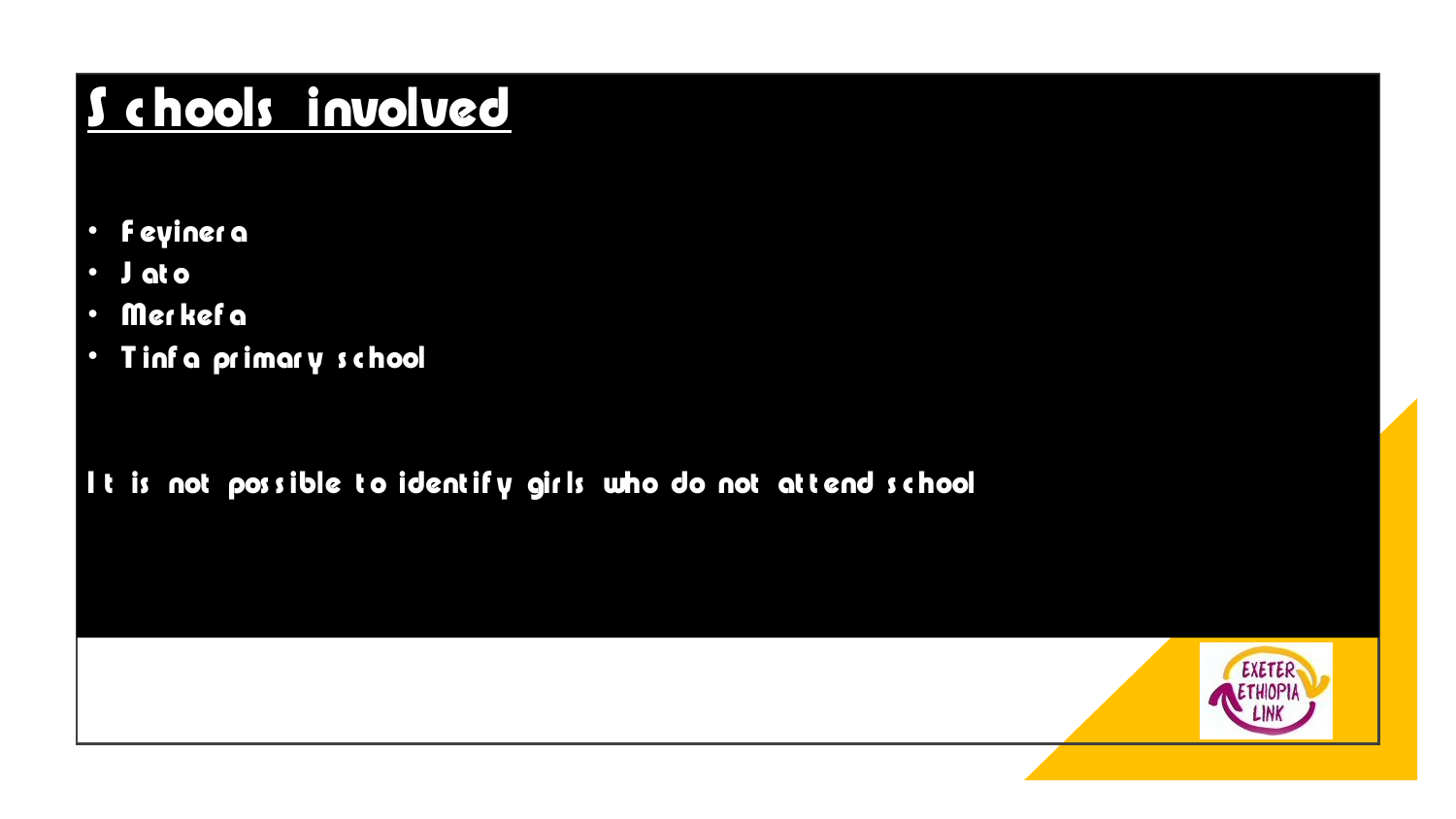## <u>Schools involved</u>

- **Feyinera**  $\bullet$
- J at o  $\bullet$
- Merkef a  $\bullet$
- Tinfa primary school

#### It is not possible to identify girls who do not attend school

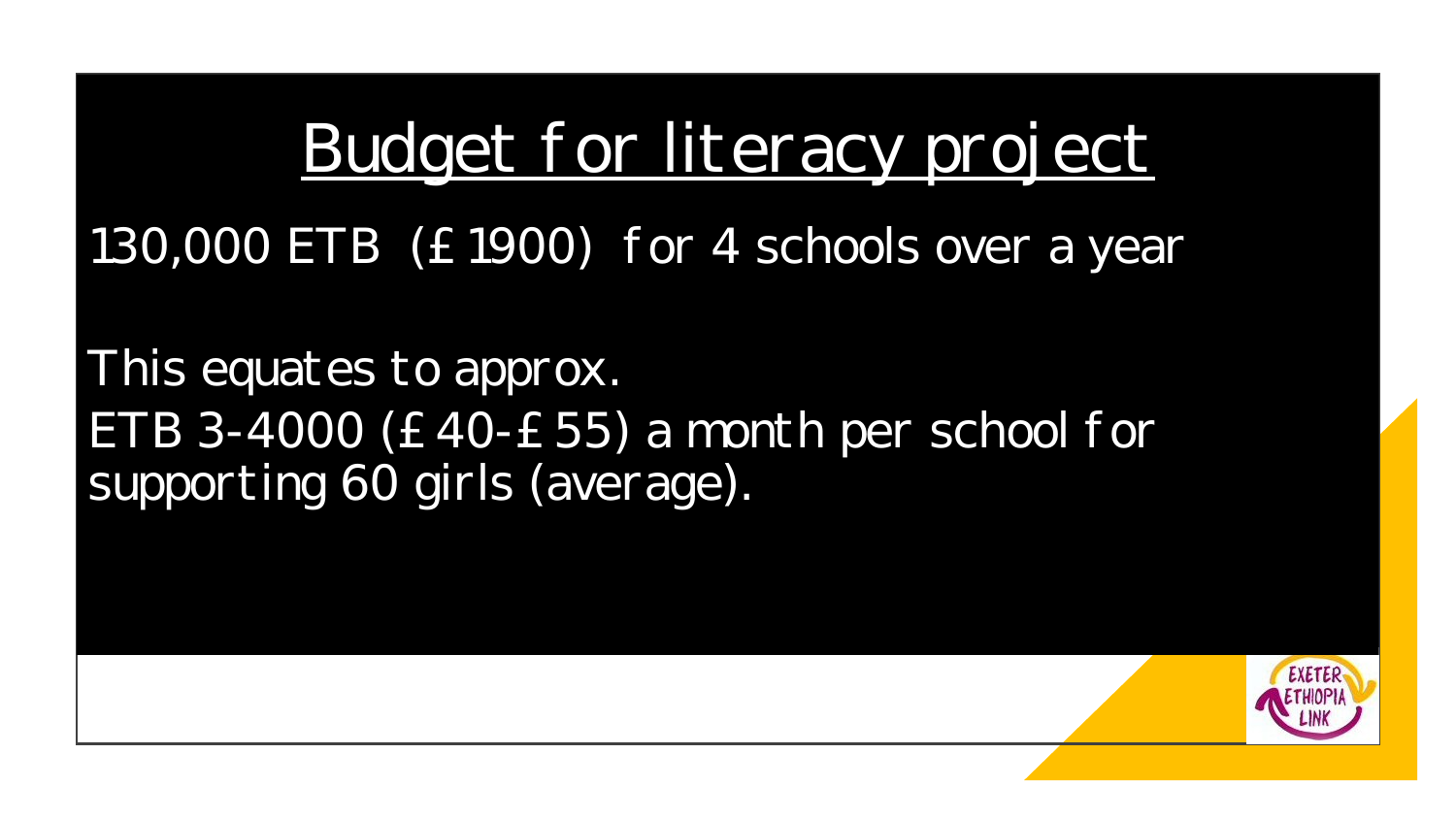# Budget for literacy project

130,000 ETB (£1900) f or 4 schools over a year

This equates to approx. ETB 3-4000 (£40-£55) a month per school for supporting 60 girls (average).

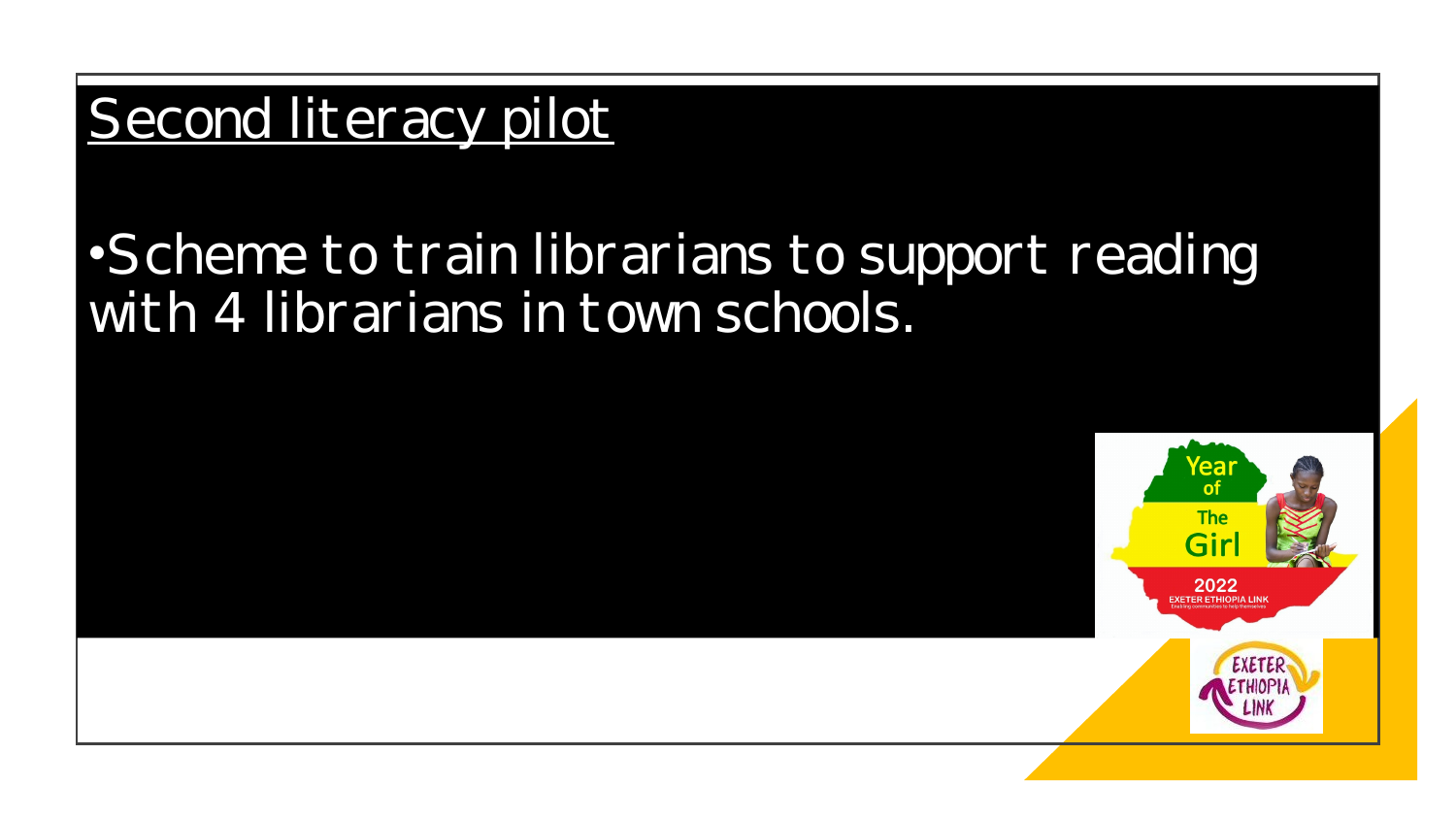#### Second literacy pilot

#### •Scheme to train librarians to support reading with 4 librarians in town schools.

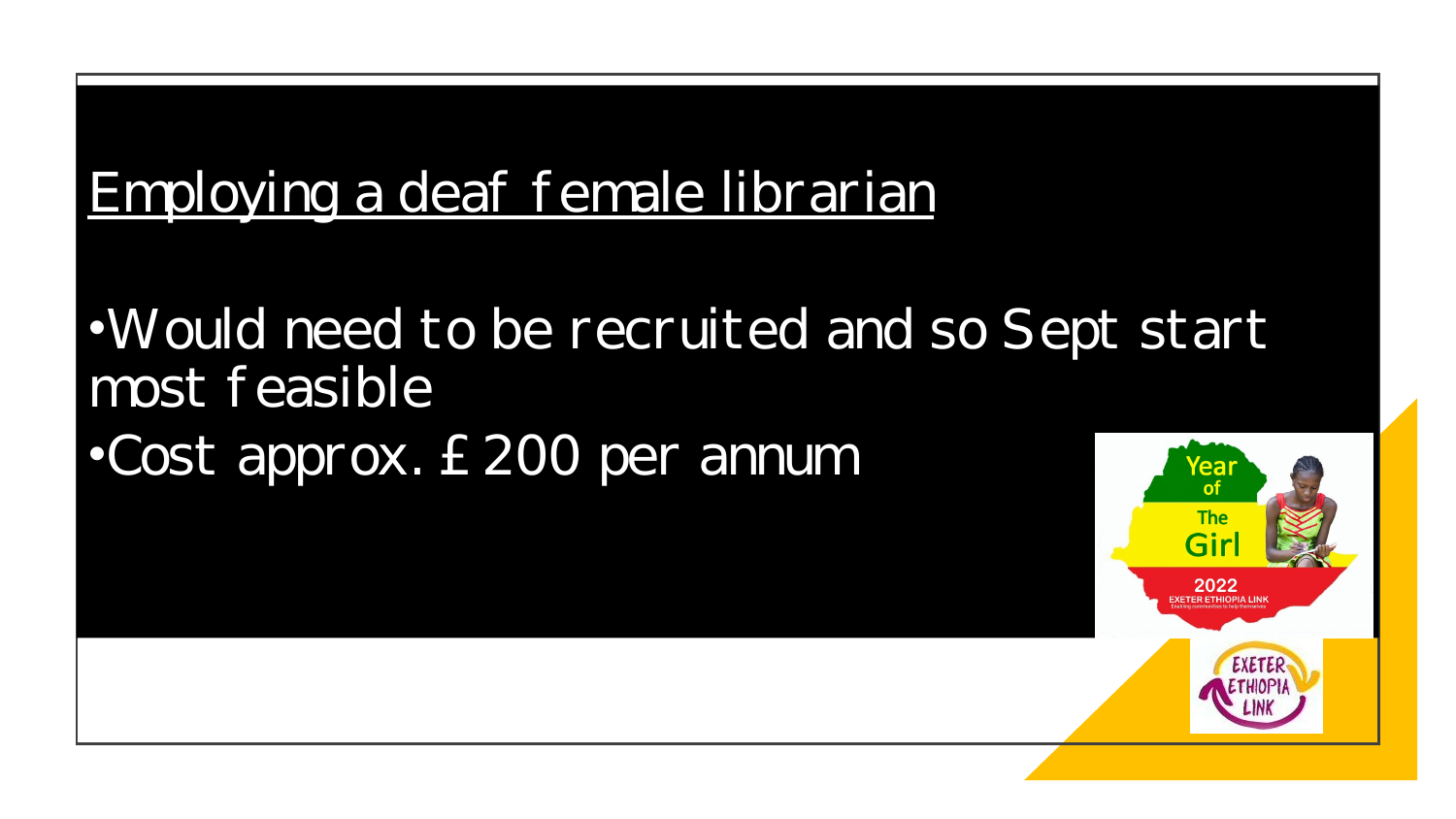#### Employing a deaf female librarian

•Would need to be recruited and so Sept start most feasible

•Cost approx. £200 per annum

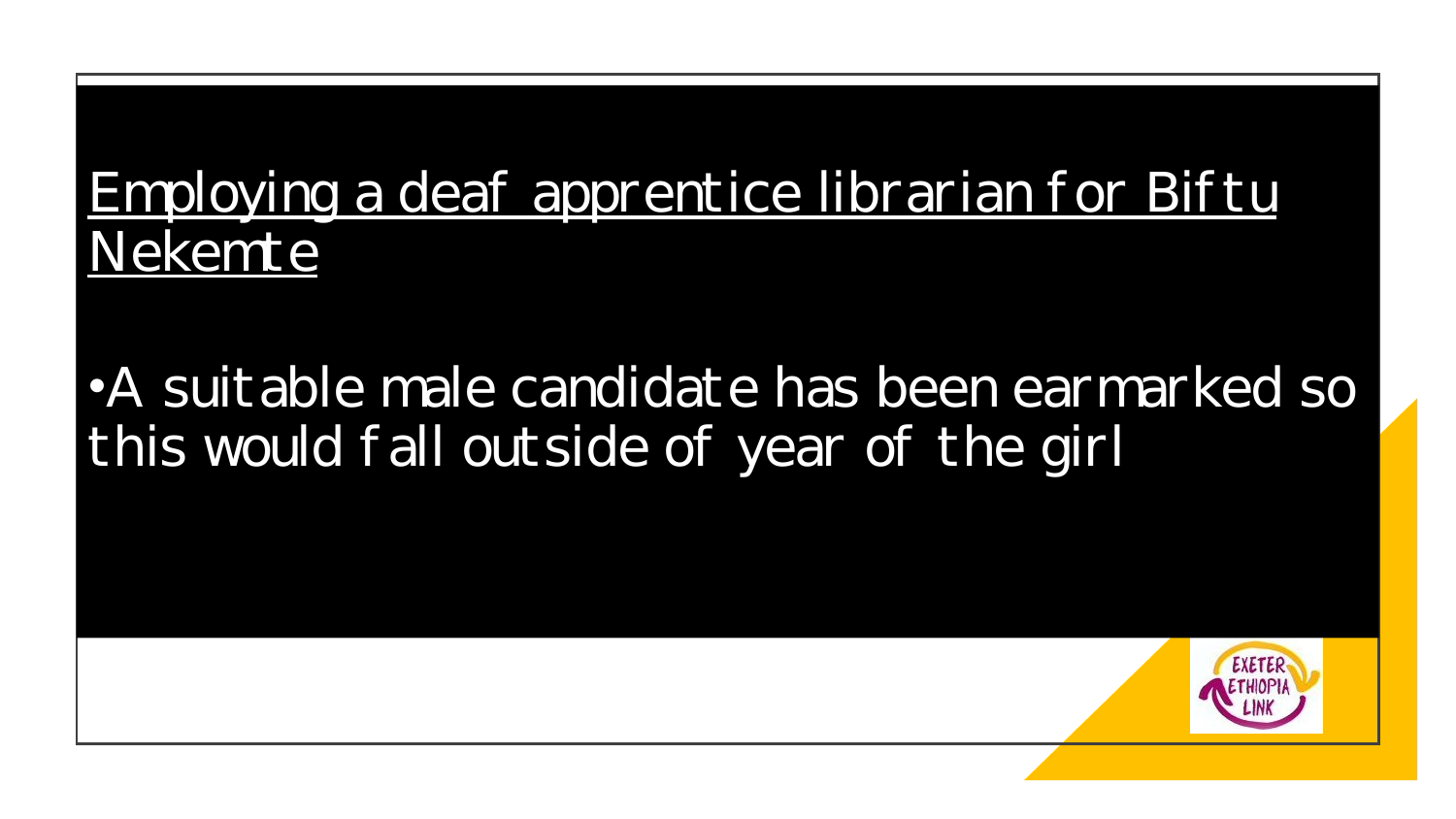#### Employing a deaf apprentice librarian for Biftu Nekemte

#### •A suitable male candidate has been earmarked so this would fall outside of year of the girl

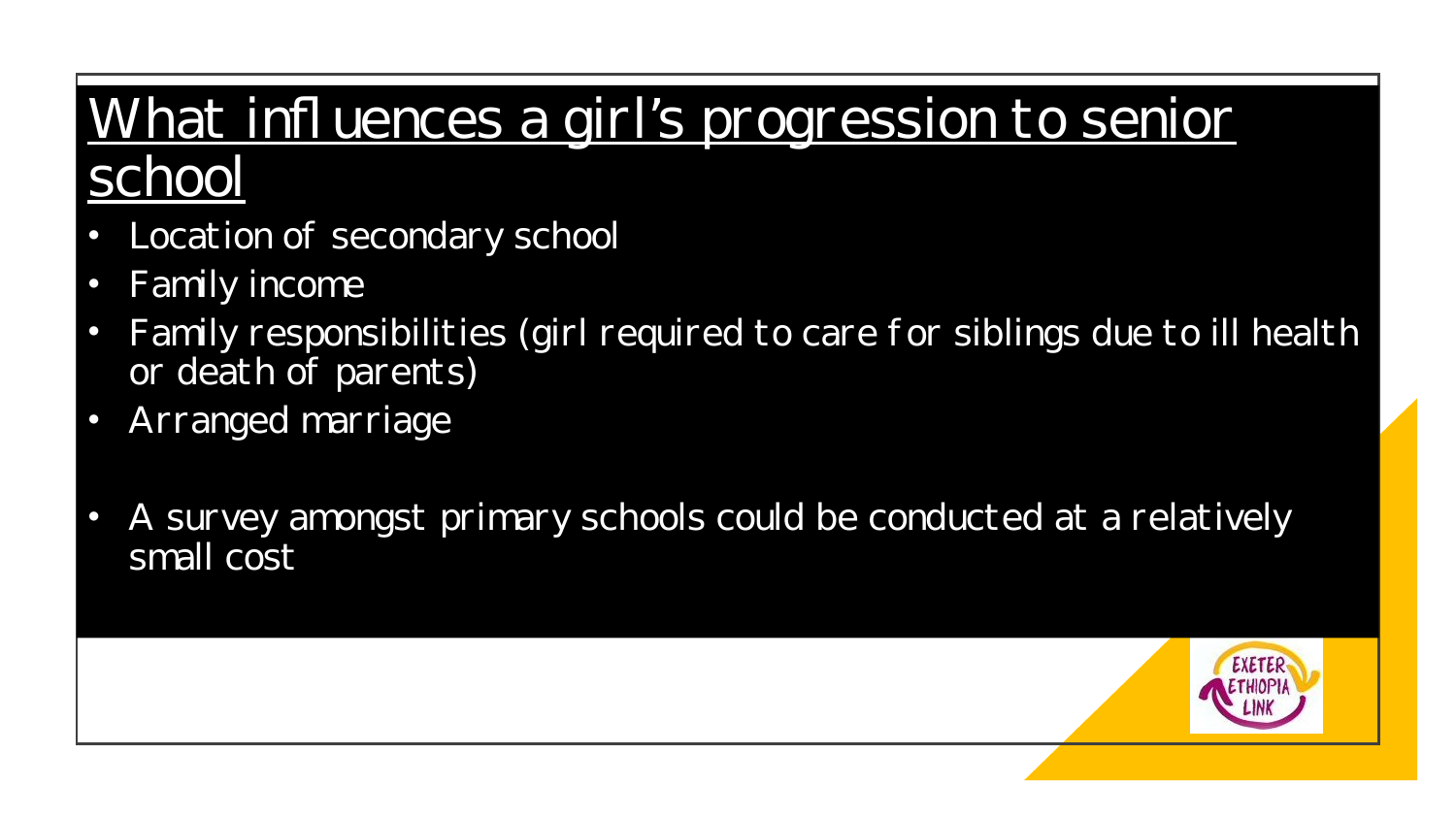### What influences a girl's progression to senior school

- Location of secondary school
- Family income
- Family responsibilities (girl required to care for siblings due to ill health or death of parents)
- Arranged marriage
- A survey amongst primary schools could be conducted at a relatively small cost

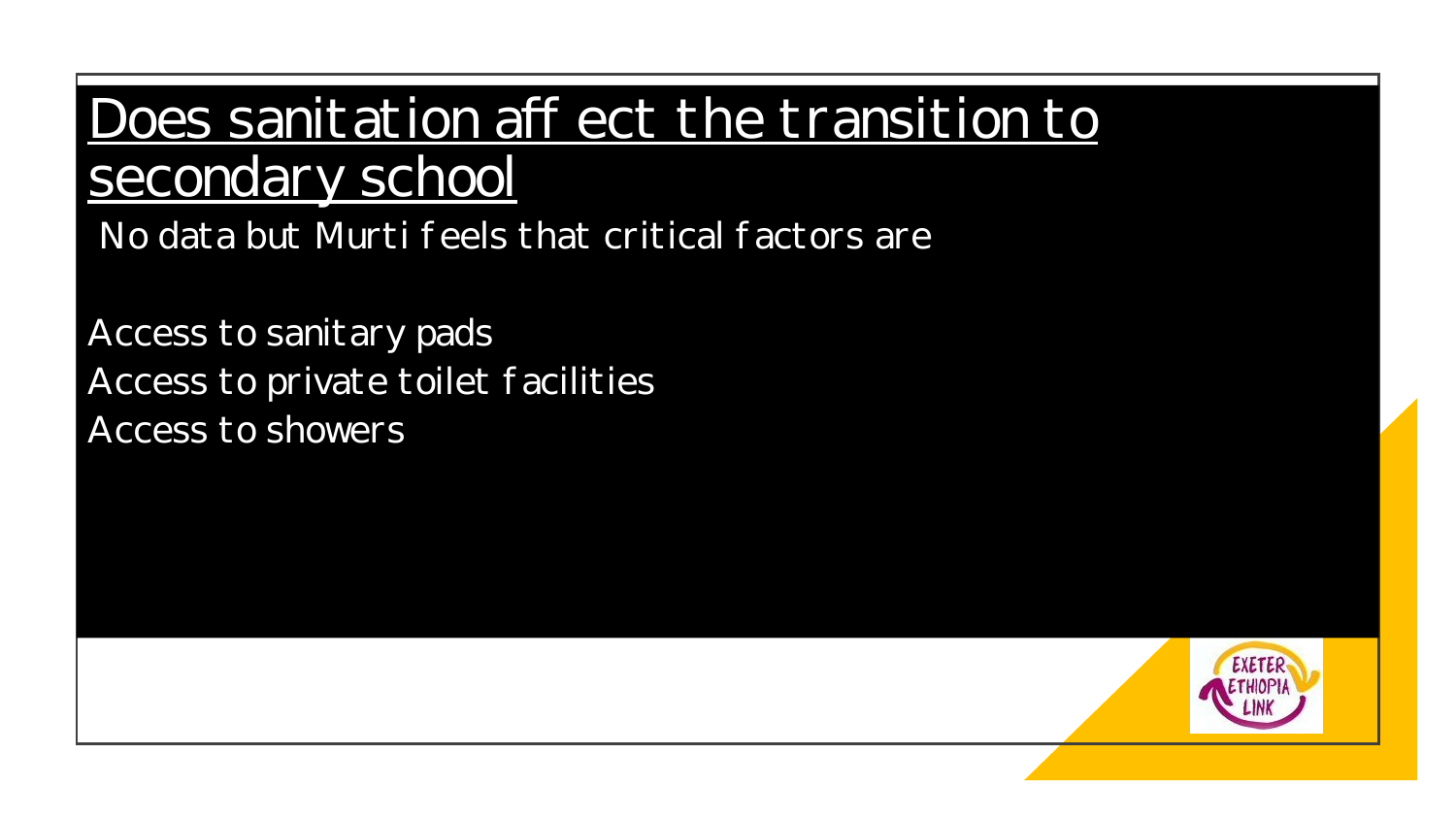#### Does sanitation aff ect the transition to secondary school

No data but Murti f eels that critical f actors are

Access to sanitary pads Access to private toilet f acilities Access to showers

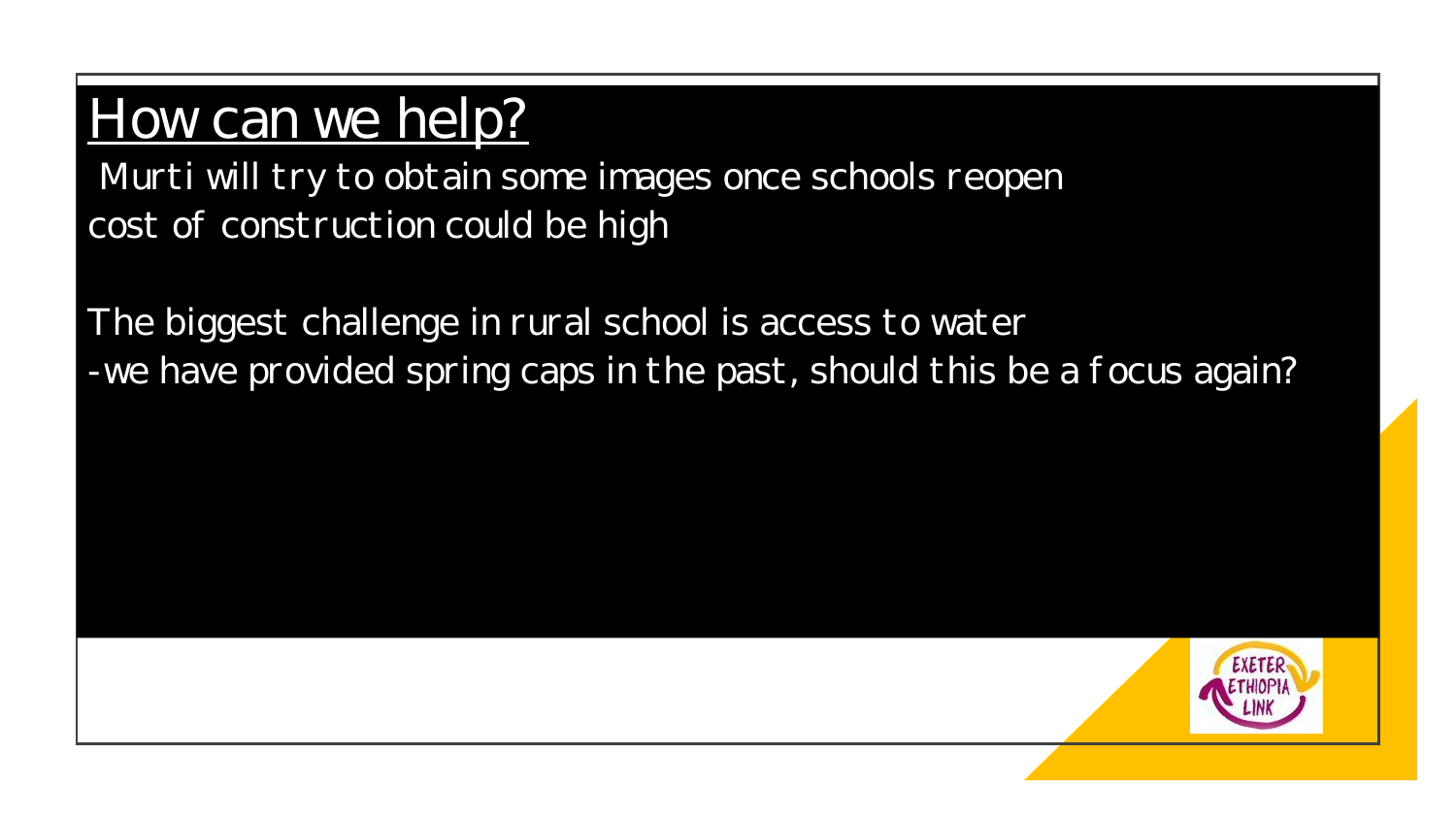# How can we help?

Murti will try to obtain some images once schools reopen cost of construction could be high

The biggest challenge in rural school is access to water -we have provided spring caps in the past, should this be a focus again?

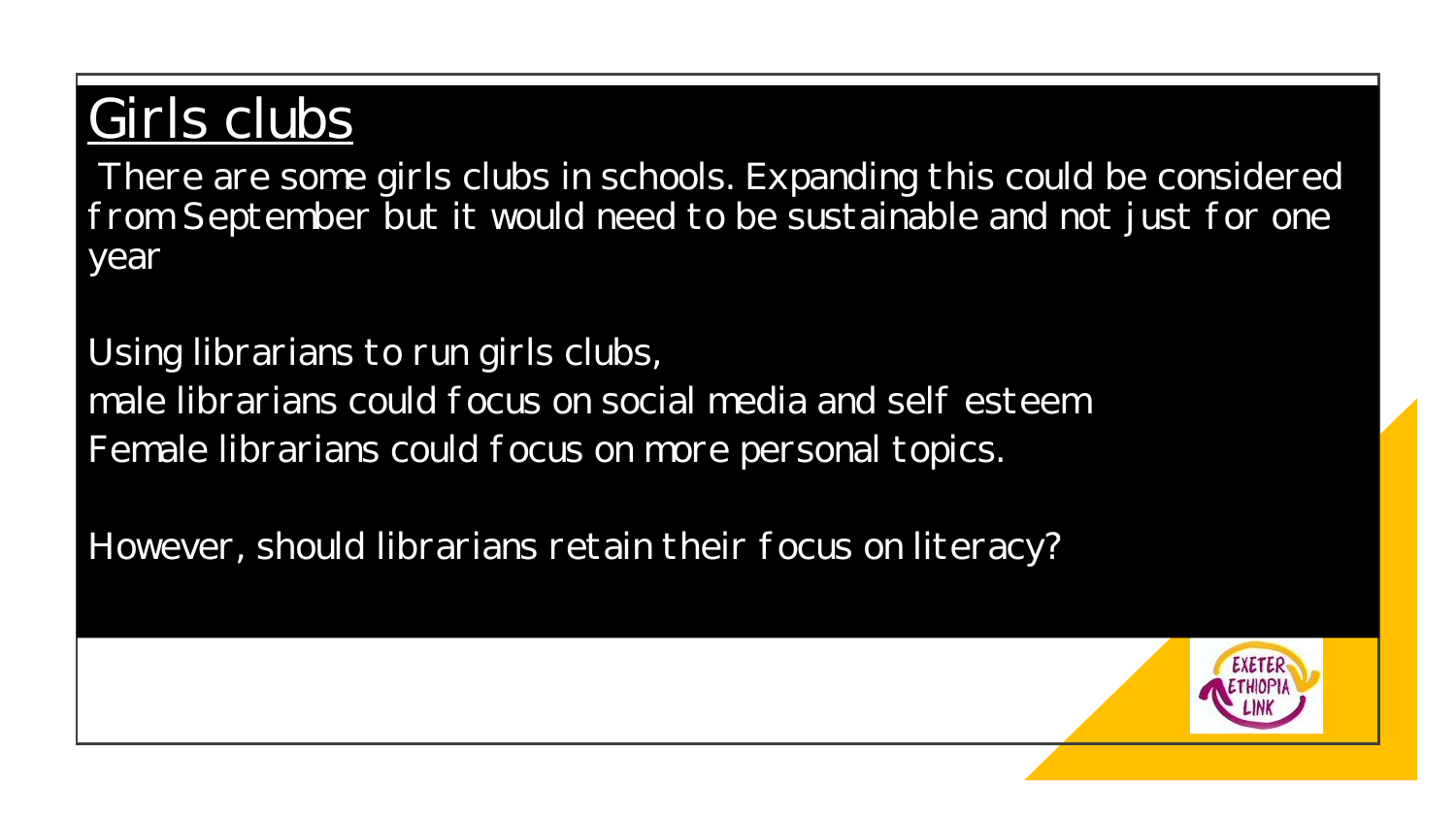## Girls clubs

There are some girls clubs in schools. Expanding this could be considered f rom September but it would need to be sustainable and not just for one year

Using librarians to run girls clubs, male librarians could f ocus on social media and self esteem Female librarians could focus on more personal topics.

However, should librarians retain their focus on literacy?

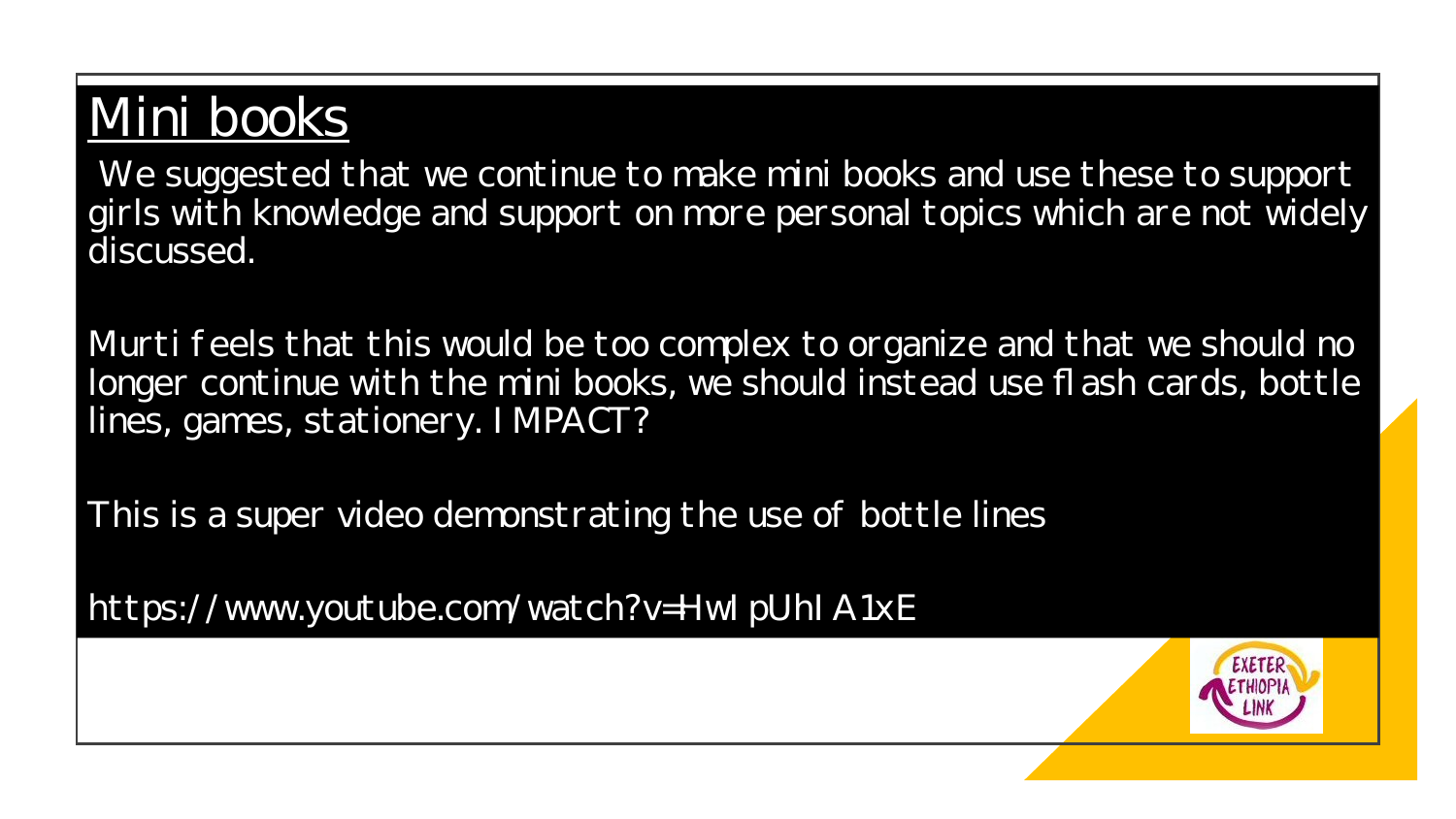#### Mini books

We suggested that we continue to make mini books and use these to support girls with knowledge and support on more personal topics which are not widely discussed.

Murti feels that this would be too complex to organize and that we should no longer continue with the mini books, we should instead use flash cards, bottle lines, games, stationery. I MPACT?

This is a super video demonstrating the use of bottle lines

https://www.youtube.com/watch?v=HwI pUhI A1xE

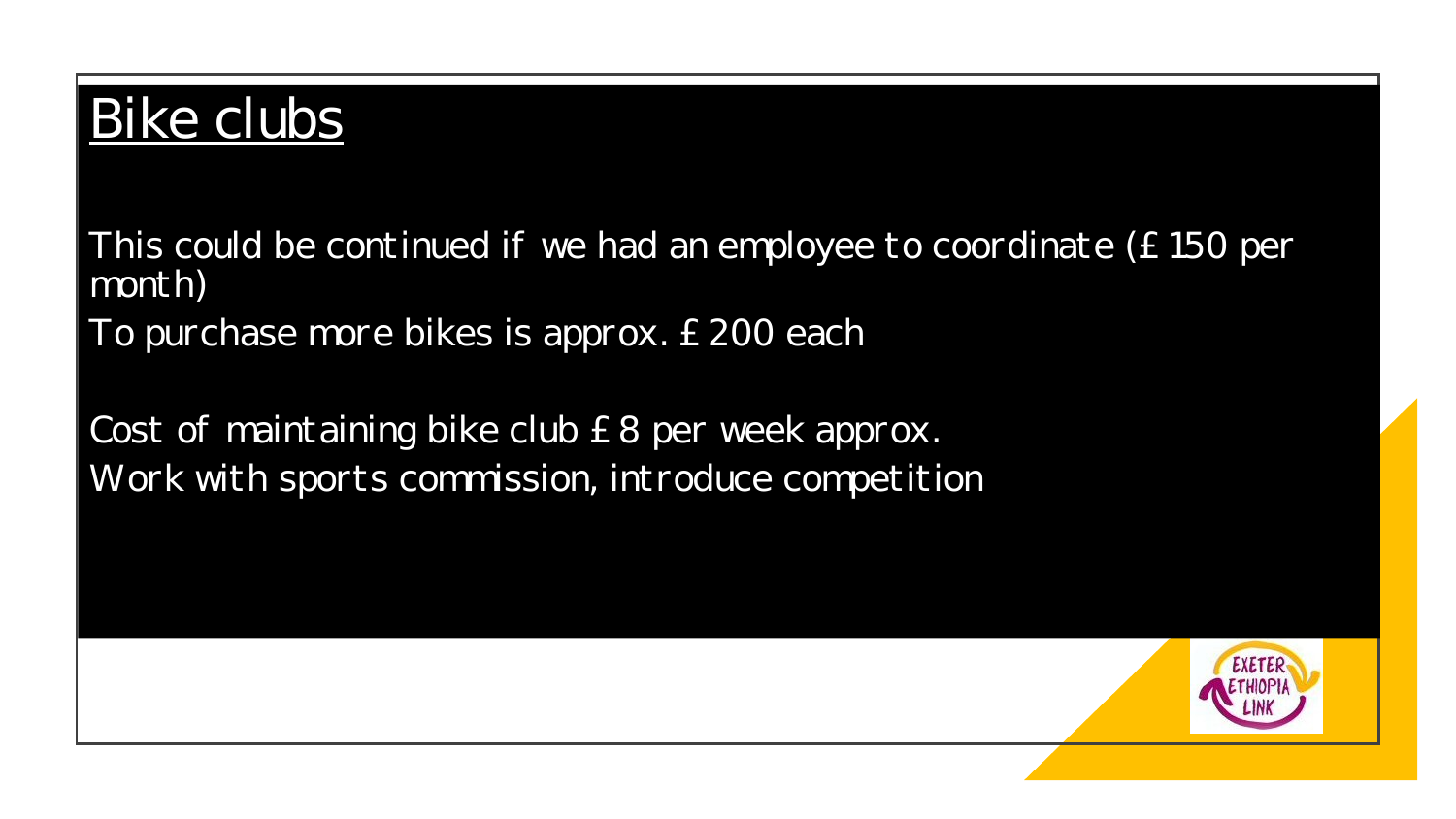## Bike clubs

This could be continued if we had an employee to coordinate (£ 150 per month)

To purchase more bikes is approx. £ 200 each

Cost of maintaining bike club £ 8 per week approx. Work with sports commission, introduce competition

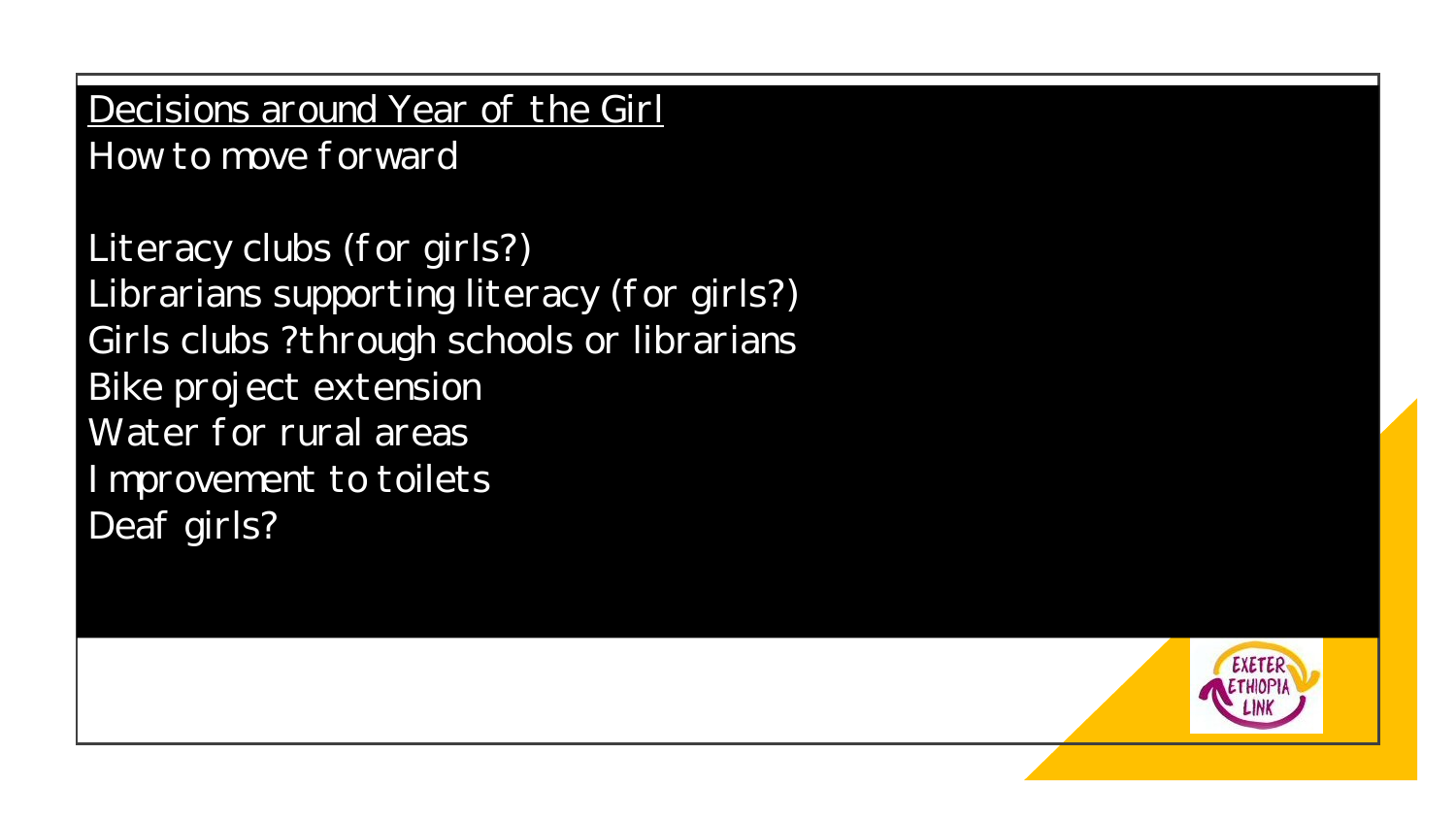Decisions around Year of the Girl How to move forward

Literacy clubs (for girls?) Librarians supporting literacy (for girls?) Girls clubs ?through schools or librarians Bike project extension Water for rural areas I mprovement to toilets Deaf girls?

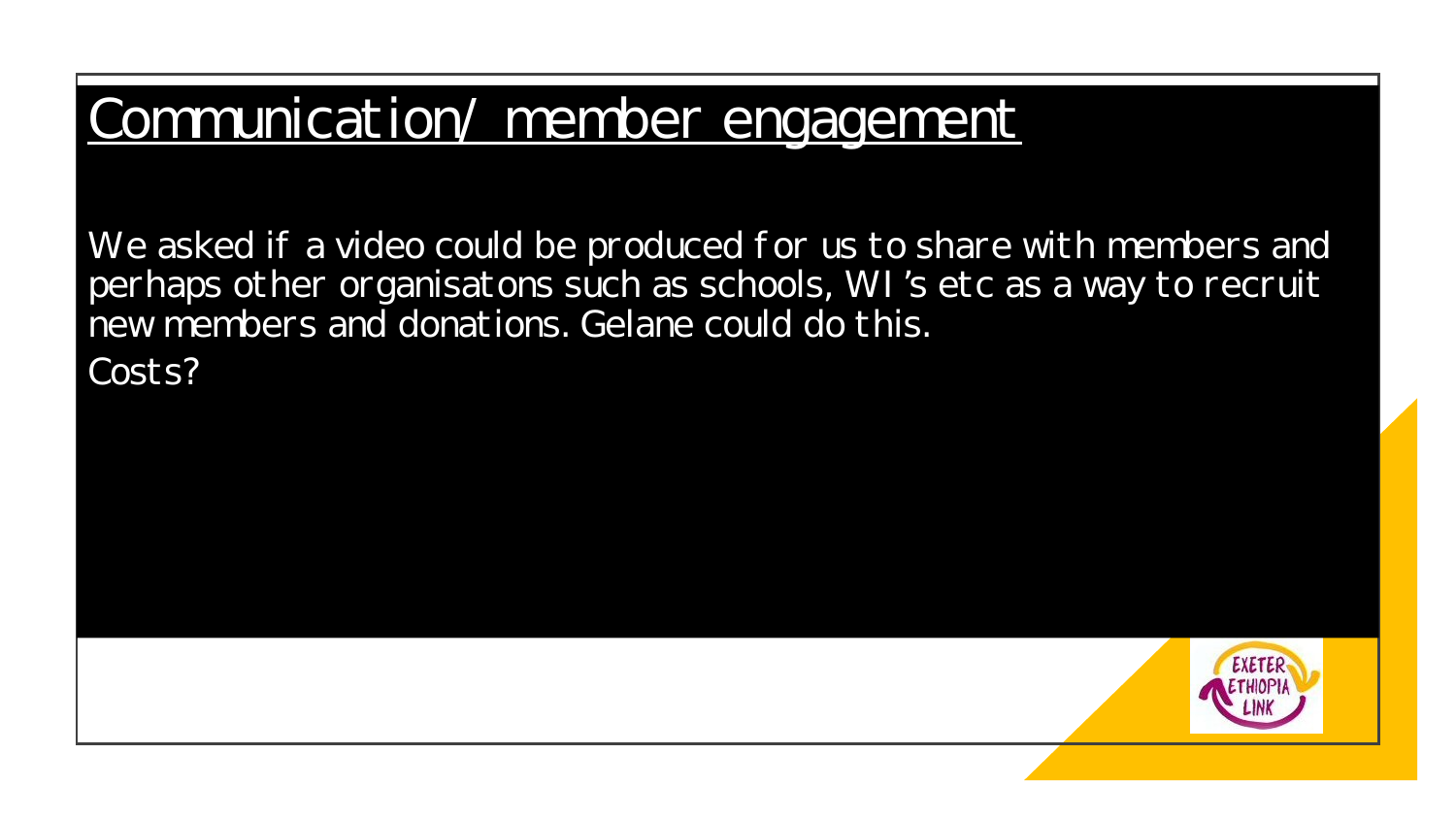#### Communication/ member engagement

We asked if a video could be produced for us to share with members and perhaps other organisatons such as schools, WI 's etc as a way to recruit new members and donations. Gelane could do this.

Costs?

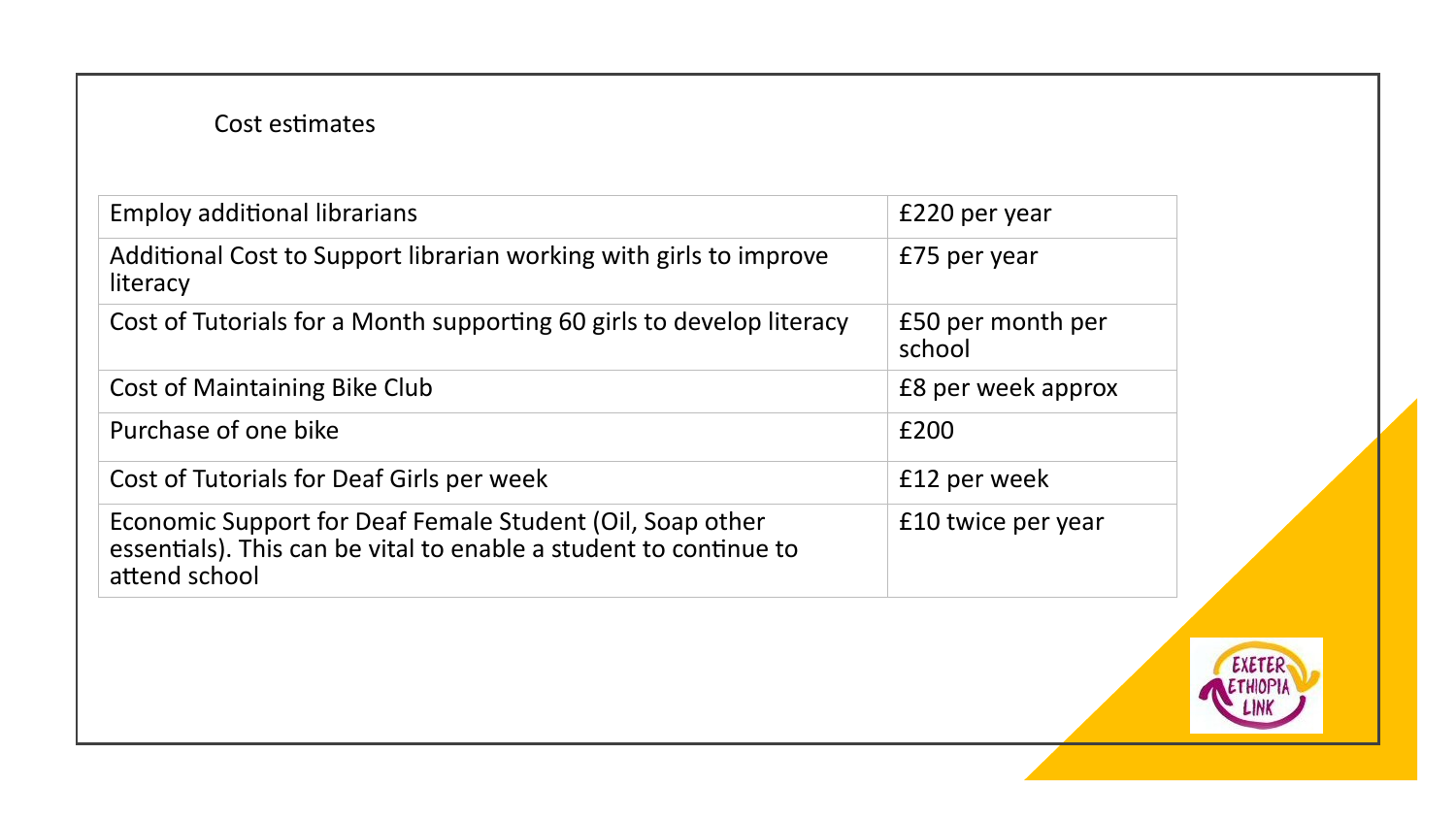#### Cost estimates

| <b>Employ additional librarians</b>                                                                                                             | £220 per year               |
|-------------------------------------------------------------------------------------------------------------------------------------------------|-----------------------------|
| Additional Cost to Support librarian working with girls to improve<br>literacy                                                                  | £75 per year                |
| Cost of Tutorials for a Month supporting 60 girls to develop literacy                                                                           | £50 per month per<br>school |
| <b>Cost of Maintaining Bike Club</b>                                                                                                            | £8 per week approx          |
| Purchase of one bike                                                                                                                            | £200                        |
| Cost of Tutorials for Deaf Girls per week                                                                                                       | £12 per week                |
| Economic Support for Deaf Female Student (Oil, Soap other<br>essentials). This can be vital to enable a student to continue to<br>attend school | £10 twice per year          |

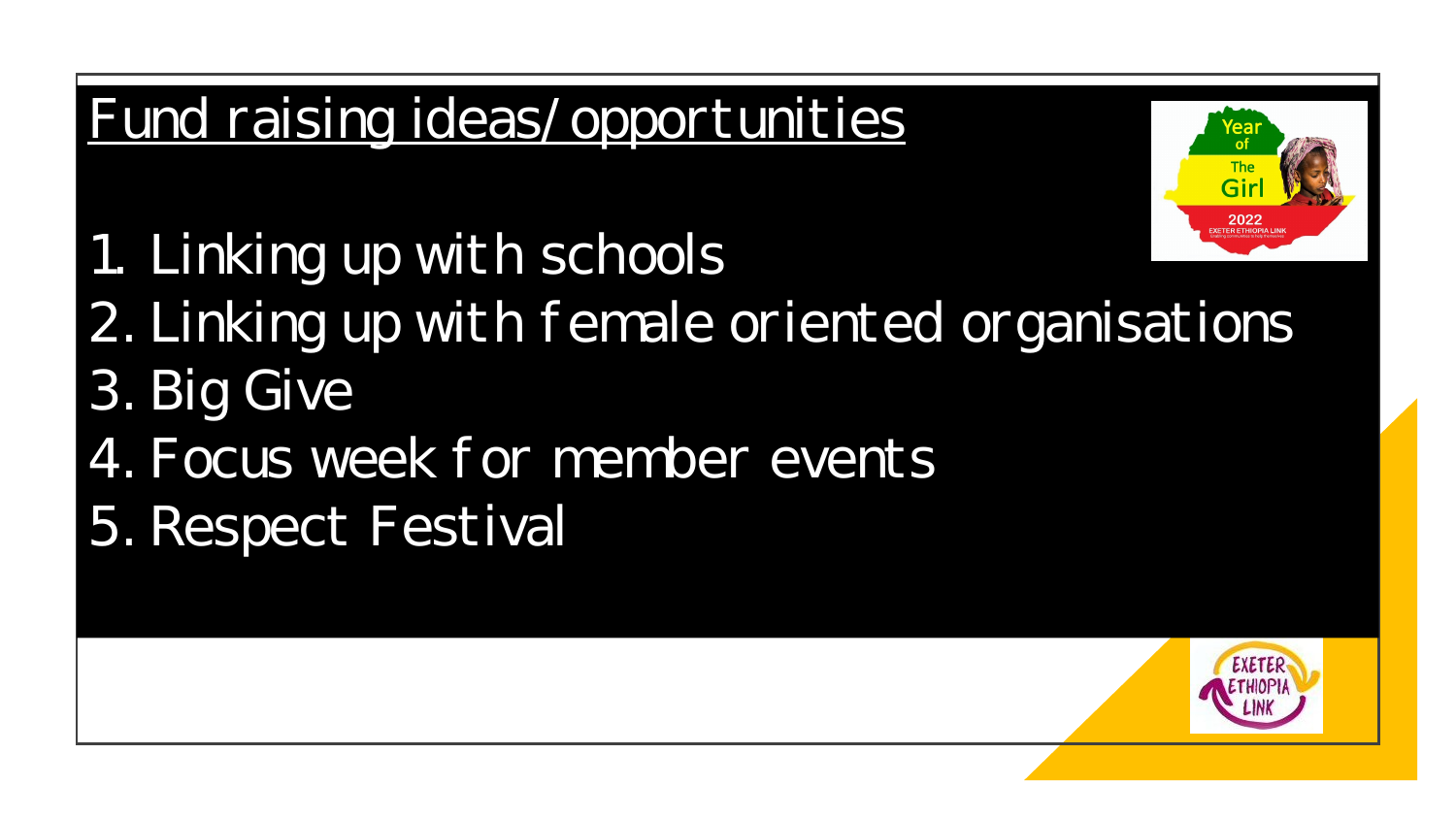## Fund raising ideas/ opportunities



1. Linking up with schools

- 2. Linking up with female oriented organisations
- 3. Big Give
- 4. Focus week for member events
- 5. Respect Festival